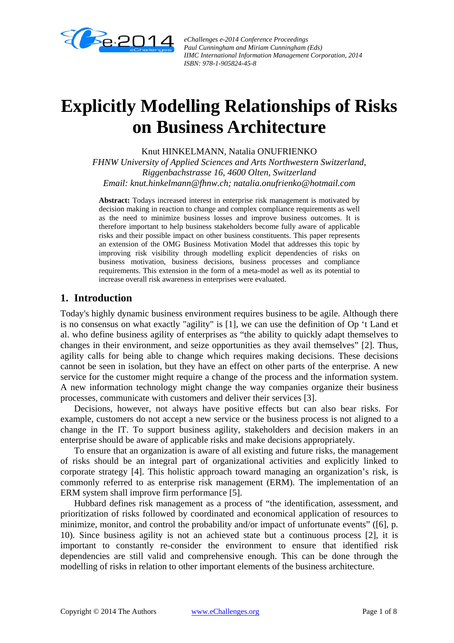

*eChallenges e-2014 Conference Proceedings Paul Cunningham and Miriam Cunningham (Eds) IIMC International Information Management Corporation, 2014 ISBN: 978-1-905824-45-8*

# **Explicitly Modelling Relationships of Risks on Business Architecture**

Knut HINKELMANN, Natalia ONUFRIENKO

*FHNW University of Applied Sciences and Arts Northwestern Switzerland, Riggenbachstrasse 16, 4600 Olten, Switzerland Email: knut.hinkelmann@fhnw.ch; natalia.onufrienko@hotmail.com* 

**Abstract:** Todays increased interest in enterprise risk management is motivated by decision making in reaction to change and complex compliance requirements as well as the need to minimize business losses and improve business outcomes. It is therefore important to help business stakeholders become fully aware of applicable risks and their possible impact on other business constituents. This paper represents an extension of the OMG Business Motivation Model that addresses this topic by improving risk visibility through modelling explicit dependencies of risks on business motivation, business decisions, business processes and compliance requirements. This extension in the form of a meta-model as well as its potential to increase overall risk awareness in enterprises were evaluated.

# **1. Introduction**

Today's highly dynamic business environment requires business to be agile. Although there is no consensus on what exactly "agility" is [1], we can use the definition of Op 't Land et al. who define business agility of enterprises as "the ability to quickly adapt themselves to changes in their environment, and seize opportunities as they avail themselves" [2]. Thus, agility calls for being able to change which requires making decisions. These decisions cannot be seen in isolation, but they have an effect on other parts of the enterprise. A new service for the customer might require a change of the process and the information system. A new information technology might change the way companies organize their business processes, communicate with customers and deliver their services [3].

Decisions, however, not always have positive effects but can also bear risks. For example, customers do not accept a new service or the business process is not aligned to a change in the IT. To support business agility, stakeholders and decision makers in an enterprise should be aware of applicable risks and make decisions appropriately.

To ensure that an organization is aware of all existing and future risks, the management of risks should be an integral part of organizational activities and explicitly linked to corporate strategy [4]. This holistic approach toward managing an organization's risk, is commonly referred to as enterprise risk management (ERM). The implementation of an ERM system shall improve firm performance [5].

Hubbard defines risk management as a process of "the identification, assessment, and prioritization of risks followed by coordinated and economical application of resources to minimize, monitor, and control the probability and/or impact of unfortunate events" ([6], p. 10). Since business agility is not an achieved state but a continuous process [2], it is important to constantly re-consider the environment to ensure that identified risk dependencies are still valid and comprehensive enough. This can be done through the modelling of risks in relation to other important elements of the business architecture.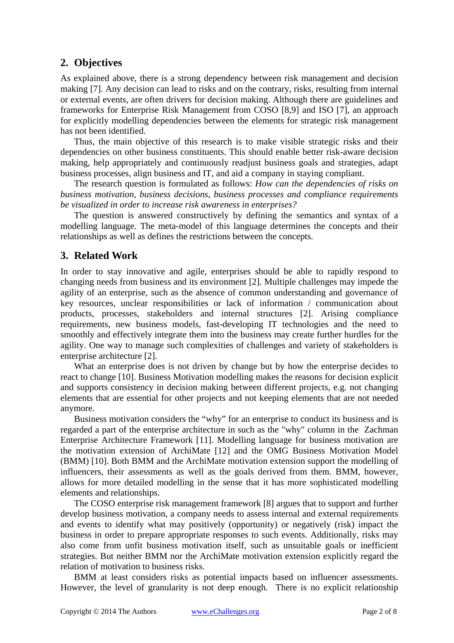# **2. Objectives**

As explained above, there is a strong dependency between risk management and decision making [7]. Any decision can lead to risks and on the contrary, risks, resulting from internal or external events, are often drivers for decision making. Although there are guidelines and frameworks for Enterprise Risk Management from COSO [8,9] and ISO [7], an approach for explicitly modelling dependencies between the elements for strategic risk management has not been identified.

Thus, the main objective of this research is to make visible strategic risks and their dependencies on other business constituents. This should enable better risk-aware decision making, help appropriately and continuously readjust business goals and strategies, adapt business processes, align business and IT, and aid a company in staying compliant.

The research question is formulated as follows: *How can the dependencies of risks on business motivation, business decisions, business processes and compliance requirements be visualized in order to increase risk awareness in enterprises?*

The question is answered constructively by defining the semantics and syntax of a modelling language. The meta-model of this language determines the concepts and their relationships as well as defines the restrictions between the concepts.

# **3. Related Work**

In order to stay innovative and agile, enterprises should be able to rapidly respond to changing needs from business and its environment [2]. Multiple challenges may impede the agility of an enterprise, such as the absence of common understanding and governance of key resources, unclear responsibilities or lack of information / communication about products, processes, stakeholders and internal structures [2]. Arising compliance requirements, new business models, fast-developing IT technologies and the need to smoothly and effectively integrate them into the business may create further hurdles for the agility. One way to manage such complexities of challenges and variety of stakeholders is enterprise architecture [2].

What an enterprise does is not driven by change but by how the enterprise decides to react to change [10]. Business Motivation modelling makes the reasons for decision explicit and supports consistency in decision making between different projects, e.g. not changing elements that are essential for other projects and not keeping elements that are not needed anymore.

Business motivation considers the "why" for an enterprise to conduct its business and is regarded a part of the enterprise architecture in such as the "why" column in the Zachman Enterprise Architecture Framework [11]. Modelling language for business motivation are the motivation extension of ArchiMate [12] and the OMG Business Motivation Model (BMM) [10]. Both BMM and the ArchiMate motivation extension support the modelling of influencers, their assessments as well as the goals derived from them. BMM, however, allows for more detailed modelling in the sense that it has more sophisticated modelling elements and relationships.

The COSO enterprise risk management framework [8] argues that to support and further develop business motivation, a company needs to assess internal and external requirements and events to identify what may positively (opportunity) or negatively (risk) impact the business in order to prepare appropriate responses to such events. Additionally, risks may also come from unfit business motivation itself, such as unsuitable goals or inefficient strategies. But neither BMM nor the ArchiMate motivation extension explicitly regard the relation of motivation to business risks.

BMM at least considers risks as potential impacts based on influencer assessments. However, the level of granularity is not deep enough. There is no explicit relationship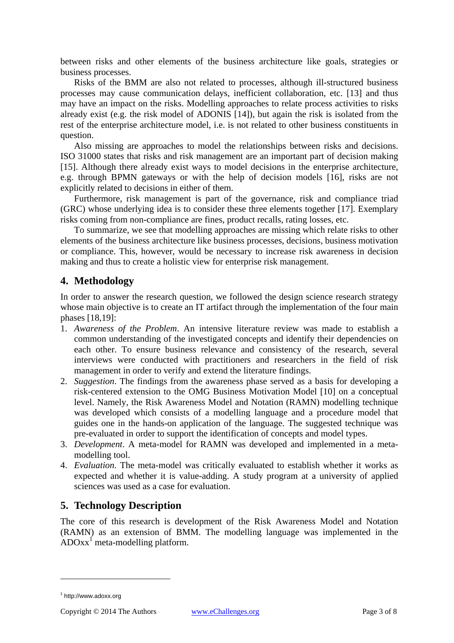between risks and other elements of the business architecture like goals, strategies or business processes.

Risks of the BMM are also not related to processes, although ill-structured business processes may cause communication delays, inefficient collaboration, etc. [13] and thus may have an impact on the risks. Modelling approaches to relate process activities to risks already exist (e.g. the risk model of ADONIS [14]), but again the risk is isolated from the rest of the enterprise architecture model, i.e. is not related to other business constituents in question.

Also missing are approaches to model the relationships between risks and decisions. ISO 31000 states that risks and risk management are an important part of decision making [15]. Although there already exist ways to model decisions in the enterprise architecture, e.g. through BPMN gateways or with the help of decision models [16], risks are not explicitly related to decisions in either of them.

Furthermore, risk management is part of the governance, risk and compliance triad (GRC) whose underlying idea is to consider these three elements together [17]. Exemplary risks coming from non-compliance are fines, product recalls, rating losses, etc.

To summarize, we see that modelling approaches are missing which relate risks to other elements of the business architecture like business processes, decisions, business motivation or compliance. This, however, would be necessary to increase risk awareness in decision making and thus to create a holistic view for enterprise risk management.

# **4. Methodology**

In order to answer the research question, we followed the design science research strategy whose main objective is to create an IT artifact through the implementation of the four main phases [18,19]:

- 1. *Awareness of the Problem*. An intensive literature review was made to establish a common understanding of the investigated concepts and identify their dependencies on each other. To ensure business relevance and consistency of the research, several interviews were conducted with practitioners and researchers in the field of risk management in order to verify and extend the literature findings.
- 2. *Suggestion*. The findings from the awareness phase served as a basis for developing a risk-centered extension to the OMG Business Motivation Model [10] on a conceptual level. Namely, the Risk Awareness Model and Notation (RAMN) modelling technique was developed which consists of a modelling language and a procedure model that guides one in the hands-on application of the language. The suggested technique was pre-evaluated in order to support the identification of concepts and model types.
- 3. *Development*. A meta-model for RAMN was developed and implemented in a metamodelling tool.
- 4. *Evaluation*. The meta-model was critically evaluated to establish whether it works as expected and whether it is value-adding. A study program at a university of applied sciences was used as a case for evaluation.

# **5. Technology Description**

The core of this research is development of the Risk Awareness Model and Notation (RAMN) as an extension of BMM. The modelling language was implemented in the  $\overline{ADOxx}^1$  meta-modelling platform.

 $\overline{a}$ 

<sup>1</sup> http://www.adoxx.org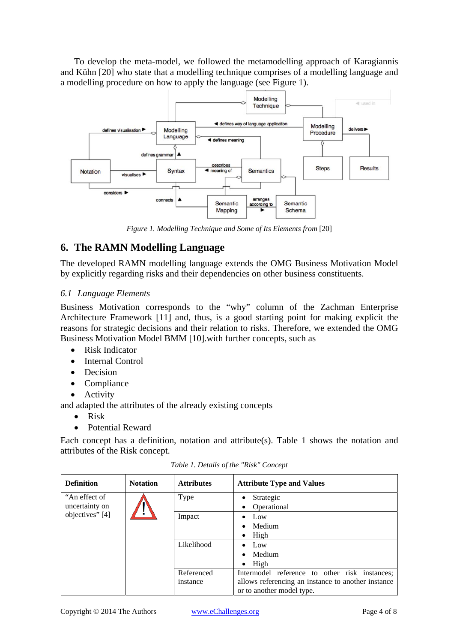To develop the meta-model, we followed the metamodelling approach of Karagiannis and Kühn [20] who state that a modelling technique comprises of a modelling language and a modelling procedure on how to apply the language (see Figure 1).



*Figure 1. Modelling Technique and Some of Its Elements from* [20]

# **6. The RAMN Modelling Language**

The developed RAMN modelling language extends the OMG Business Motivation Model by explicitly regarding risks and their dependencies on other business constituents.

#### *6.1 Language Elements*

Business Motivation corresponds to the "why" column of the Zachman Enterprise Architecture Framework [11] and, thus, is a good starting point for making explicit the reasons for strategic decisions and their relation to risks. Therefore, we extended the OMG Business Motivation Model BMM [10].with further concepts, such as

- Risk Indicator
- Internal Control
- Decision
- Compliance
- Activity

and adapted the attributes of the already existing concepts

- Risk
- Potential Reward

Each concept has a definition, notation and attribute(s). Table 1 shows the notation and attributes of the Risk concept.

| <b>Definition</b>                                  | <b>Notation</b> | <b>Attributes</b> | <b>Attribute Type and Values</b>                   |
|----------------------------------------------------|-----------------|-------------------|----------------------------------------------------|
| "An effect of<br>uncertainty on<br>objectives" [4] |                 | Type              | Strategic<br>$\bullet$                             |
|                                                    |                 |                   | Operational<br>٠                                   |
|                                                    |                 | Impact            | Low                                                |
|                                                    |                 |                   | Medium<br>$\bullet$                                |
|                                                    |                 |                   | High<br>$\bullet$                                  |
|                                                    |                 | Likelihood        | Low<br>$\bullet$                                   |
|                                                    |                 |                   | Medium<br>$\bullet$                                |
|                                                    |                 |                   | High<br>$\bullet$                                  |
|                                                    |                 | Referenced        | Intermodel reference to other risk instances;      |
|                                                    |                 | instance          | allows referencing an instance to another instance |
|                                                    |                 |                   | or to another model type.                          |

*Table 1. Details of the "Risk" Concept*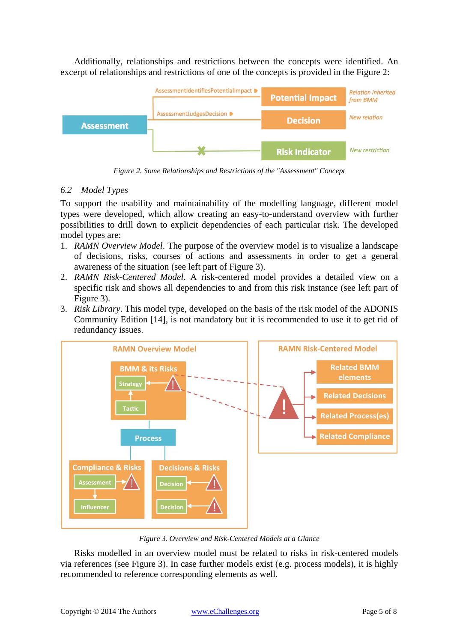Additionally, relationships and restrictions between the concepts were identified. An excerpt of relationships and restrictions of one of the concepts is provided in the Figure 2:



*Figure 2. Some Relationships and Restrictions of the "Assessment" Concept* 

#### *6.2 Model Types*

To support the usability and maintainability of the modelling language, different model types were developed, which allow creating an easy-to-understand overview with further possibilities to drill down to explicit dependencies of each particular risk. The developed model types are:

- 1. *RAMN Overview Model*. The purpose of the overview model is to visualize a landscape of decisions, risks, courses of actions and assessments in order to get a general awareness of the situation (see left part of Figure 3).
- 2. *RAMN Risk-Centered Model*. A risk-centered model provides a detailed view on a specific risk and shows all dependencies to and from this risk instance (see left part of Figure 3).
- 3. *Risk Library*. This model type, developed on the basis of the risk model of the ADONIS Community Edition [14], is not mandatory but it is recommended to use it to get rid of redundancy issues.



*Figure 3. Overview and Risk-Centered Models at a Glance* 

Risks modelled in an overview model must be related to risks in risk-centered models via references (see Figure 3). In case further models exist (e.g. process models), it is highly recommended to reference corresponding elements as well.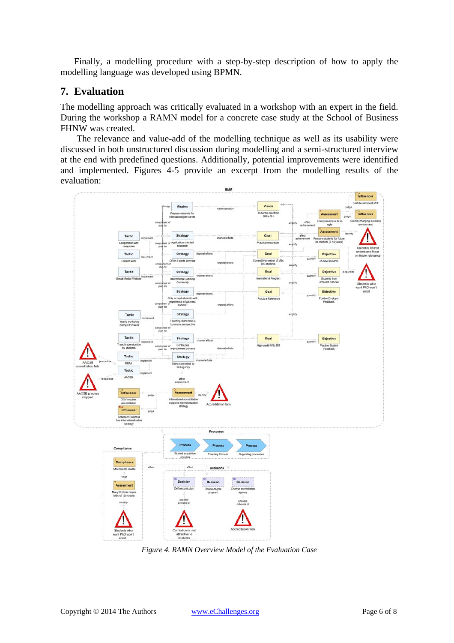Finally, a modelling procedure with a step-by-step description of how to apply the modelling language was developed using BPMN.

#### **7. Evaluation**

The modelling approach was critically evaluated in a workshop with an expert in the field. During the workshop a RAMN model for a concrete case study at the School of Business FHNW was created.

The relevance and value-add of the modelling technique as well as its usability were discussed in both unstructured discussion during modelling and a semi-structured interview at the end with predefined questions. Additionally, potential improvements were identified and implemented. Figures 4-5 provide an excerpt from the modelling results of the evaluation:



*Figure 4. RAMN Overview Model of the Evaluation Case*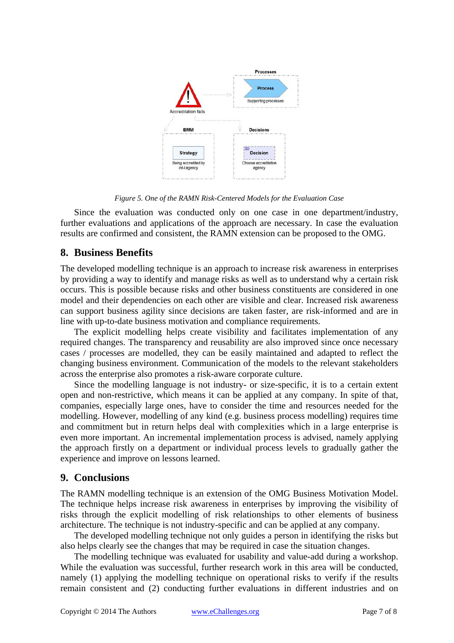

*Figure 5. One of the RAMN Risk-Centered Models for the Evaluation Case* 

Since the evaluation was conducted only on one case in one department/industry, further evaluations and applications of the approach are necessary. In case the evaluation results are confirmed and consistent, the RAMN extension can be proposed to the OMG.

# **8. Business Benefits**

The developed modelling technique is an approach to increase risk awareness in enterprises by providing a way to identify and manage risks as well as to understand why a certain risk occurs. This is possible because risks and other business constituents are considered in one model and their dependencies on each other are visible and clear. Increased risk awareness can support business agility since decisions are taken faster, are risk-informed and are in line with up-to-date business motivation and compliance requirements.

The explicit modelling helps create visibility and facilitates implementation of any required changes. The transparency and reusability are also improved since once necessary cases / processes are modelled, they can be easily maintained and adapted to reflect the changing business environment. Communication of the models to the relevant stakeholders across the enterprise also promotes a risk-aware corporate culture.

Since the modelling language is not industry- or size-specific, it is to a certain extent open and non-restrictive, which means it can be applied at any company. In spite of that, companies, especially large ones, have to consider the time and resources needed for the modelling. However, modelling of any kind (e.g. business process modelling) requires time and commitment but in return helps deal with complexities which in a large enterprise is even more important. An incremental implementation process is advised, namely applying the approach firstly on a department or individual process levels to gradually gather the experience and improve on lessons learned.

# **9. Conclusions**

The RAMN modelling technique is an extension of the OMG Business Motivation Model. The technique helps increase risk awareness in enterprises by improving the visibility of risks through the explicit modelling of risk relationships to other elements of business architecture. The technique is not industry-specific and can be applied at any company.

The developed modelling technique not only guides a person in identifying the risks but also helps clearly see the changes that may be required in case the situation changes.

The modelling technique was evaluated for usability and value-add during a workshop. While the evaluation was successful, further research work in this area will be conducted, namely (1) applying the modelling technique on operational risks to verify if the results remain consistent and (2) conducting further evaluations in different industries and on